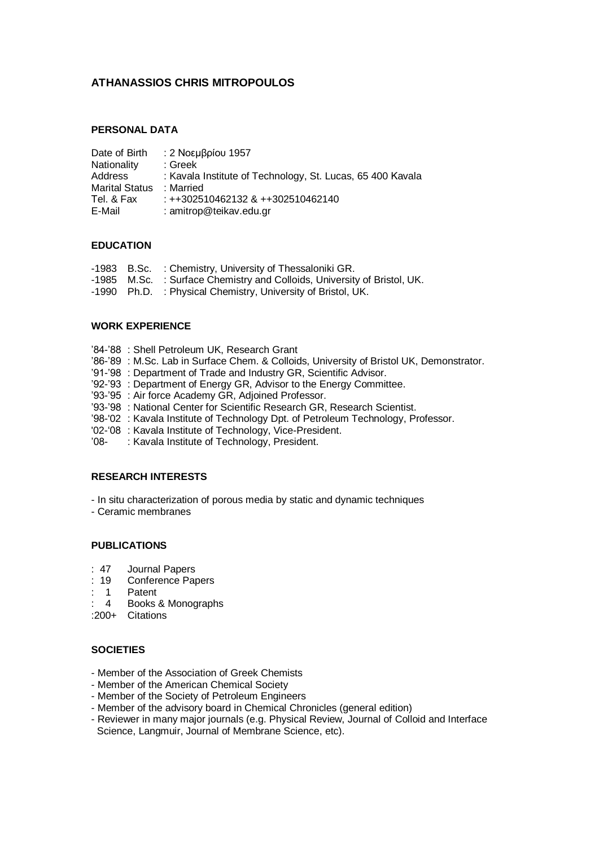## **ATHANASSIOS CHRIS MITROPOULOS**

### **PERSONAL DATA**

| Date of Birth         | : 2 Νοεμβρίου 1957                                         |
|-----------------------|------------------------------------------------------------|
| <b>Nationality</b>    | : Greek                                                    |
| Address               | : Kavala Institute of Technology, St. Lucas, 65 400 Kavala |
| <b>Marital Status</b> | : Married                                                  |
| Tel. & Fax            | $: ++302510462132$ & $++302510462140$                      |
| E-Mail                | : amitrop@teikav.edu.gr                                    |

### **EDUCATION**

|  | -1983 B.Sc. : Chemistry, University of Thessaloniki GR.                  |
|--|--------------------------------------------------------------------------|
|  | -1985 M.Sc. : Surface Chemistry and Colloids, University of Bristol, UK. |
|  | -1990 Ph.D. : Physical Chemistry, University of Bristol, UK.             |

## **WORK EXPERIENCE**

- "84-"88 : Shell Petroleum UK, Research Grant
- "86-"89 : M.Sc. Lab in Surface Chem. & Colloids, University of Bristol UK, Demonstrator.
- '91-'98 : Department of Trade and Industry GR, Scientific Advisor.
- '92-'93 : Department of Energy GR, Advisor to the Energy Committee.
- '93-'95 : Air force Academy GR, Adjoined Professor.
- "93-"98 : National Center for Scientific Research GR, Research Scientist.
- "98-'02 : Kavala Institute of Technology Dpt. of Petroleum Technology, Professor.
- '02-'08 : Kavala Institute of Technology, Vice-President.
- '08- : Kavala Institute of Technology, President.

#### **RESEARCH INTERESTS**

- In situ characterization of porous media by static and dynamic techniques

- Ceramic membranes

### **PUBLICATIONS**

- : 47 Journal Papers
- : 19 Conference Papers
- 1 Patent
- : 14 Books & Monographs

:200+ Citations

### **SOCIETIES**

- Member of the Association of Greek Chemists
- Member of the American Chemical Society
- Member of the Society of Petroleum Engineers
- Member of the advisory board in Chemical Chronicles (general edition)
- Reviewer in many major journals (e.g. Physical Review, Journal of Colloid and Interface Science, Langmuir, Journal of Membrane Science, etc).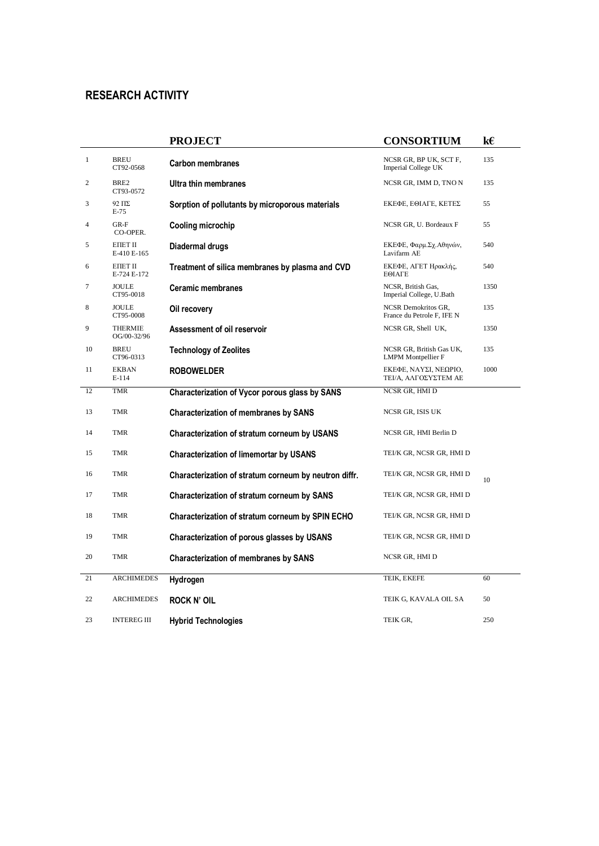# **RESEARCH ACTIVITY**

|                |                                | <b>PROJECT</b>                                        | <b>CONSORTIUM</b>                                     | k€   |
|----------------|--------------------------------|-------------------------------------------------------|-------------------------------------------------------|------|
| $\mathbf{1}$   | <b>BREU</b><br>CT92-0568       | <b>Carbon membranes</b>                               | NCSR GR, BP UK, SCT F,<br>Imperial College UK         | 135  |
| 2              | BRE2<br>CT93-0572              | Ultra thin membranes                                  | NCSR GR, IMM D, TNO N                                 | 135  |
| 3              | 92 ΠΣ<br>$E-75$                | Sorption of pollutants by microporous materials       | ΕΚΕΦΕ, ΕΘΙΑΓΕ, ΚΕΤΕΣ                                  | 55   |
| $\overline{4}$ | $GR-F$<br>CO-OPER.             | Cooling microchip                                     | NCSR GR, U. Bordeaux F                                | 55   |
| 5              | EIIET II<br>E-410 E-165        | Diadermal drugs                                       | ΕΚΕΦΕ, Φαρμ.Σχ.Αθηνών,<br>Lavifarm AE                 | 540  |
| 6              | <b>EIIET II</b><br>E-724 E-172 | Treatment of silica membranes by plasma and CVD       | ΕΚΕΦΕ, ΑΓΕΤ Ηρακλής,<br>ΕΘΙΑΓΕ                        | 540  |
| 7              | <b>JOULE</b><br>CT95-0018      | <b>Ceramic membranes</b>                              | NCSR, British Gas,<br>Imperial College, U.Bath        | 1350 |
| 8              | <b>JOULE</b><br>CT95-0008      | Oil recovery                                          | NCSR Demokritos GR,<br>France du Petrole F, IFE N     | 135  |
| 9              | THERMIE<br>OG/00-32/96         | Assessment of oil reservoir                           | NCSR GR, Shell UK,                                    | 1350 |
| 10             | BREU<br>CT96-0313              | <b>Technology of Zeolites</b>                         | NCSR GR, British Gas UK,<br><b>LMPM</b> Montpellier F | 135  |
| 11             | <b>EKBAN</b><br>E-114          | <b>ROBOWELDER</b>                                     | ΕΚΕΦΕ, ΝΑΥΣΙ, ΝΕΩΡΙΟ,<br>ΤΕΙ/Α, ΑΛΓΟΣΥΣΤΕΜ ΑΕ         | 1000 |
| 12             | <b>TMR</b>                     | Characterization of Vycor porous glass by SANS        | NCSR GR, HMI D                                        |      |
| 13             | <b>TMR</b>                     | <b>Characterization of membranes by SANS</b>          | NCSR GR, ISIS UK                                      |      |
| 14             | <b>TMR</b>                     | Characterization of stratum corneum by USANS          | NCSR GR, HMI Berlin D                                 |      |
| 15             | <b>TMR</b>                     | <b>Characterization of limemortar by USANS</b>        | TEI/K GR, NCSR GR, HMI D                              |      |
| 16             | <b>TMR</b>                     | Characterization of stratum corneum by neutron diffr. | TEI/K GR, NCSR GR, HMI D                              | 10   |
| 17             | <b>TMR</b>                     | Characterization of stratum corneum by SANS           | TEI/K GR, NCSR GR, HMI D                              |      |
| 18             | TMR                            | Characterization of stratum corneum by SPIN ECHO      | TEI/K GR, NCSR GR, HMI D                              |      |
| 19             | <b>TMR</b>                     | Characterization of porous glasses by USANS           | TEI/K GR, NCSR GR, HMI D                              |      |
| 20             | <b>TMR</b>                     | <b>Characterization of membranes by SANS</b>          | NCSR GR, HMI D                                        |      |
| 21             | <b>ARCHIMEDES</b>              | Hydrogen                                              | TEIK, EKEFE                                           | 60   |
| 22             | <b>ARCHIMEDES</b>              | <b>ROCK N' OIL</b>                                    | TEIK G, KAVALA OIL SA                                 | 50   |
| 23             | <b>INTEREGIII</b>              | <b>Hybrid Technologies</b>                            | TEIK GR.                                              | 250  |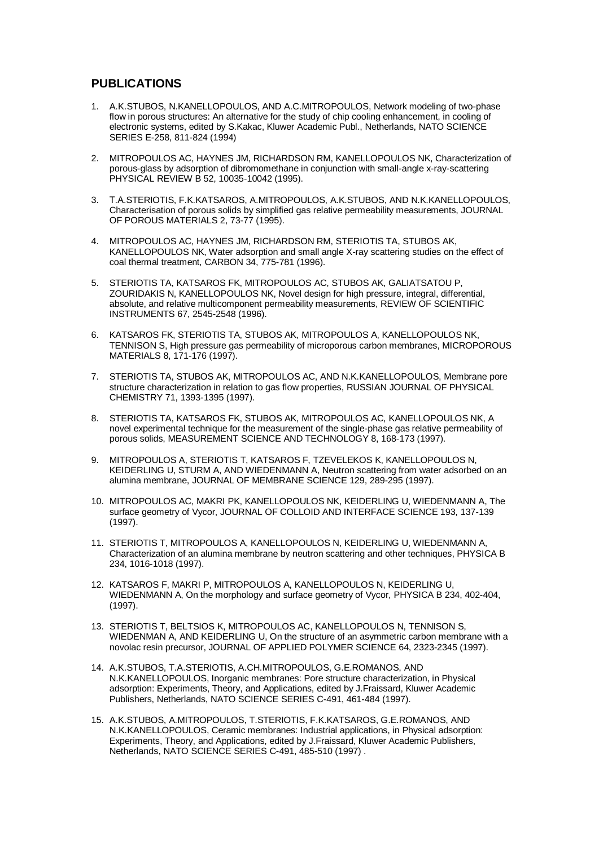## **PUBLICATIONS**

- 1. A.K.STUBOS, N.KANELLOPOULOS, AND A.C.MITROPOULOS, Network modeling of two-phase flow in porous structures: An alternative for the study of chip cooling enhancement, in cooling of electronic systems, edited by S.Kakac, Kluwer Academic Publ., Netherlands, NATO SCIENCE SERIES E-258, 811-824 (1994)
- 2. MITROPOULOS AC, HAYNES JM, RICHARDSON RM, KANELLOPOULOS NK, Characterization of porous-glass by adsorption of dibromomethane in conjunction with small-angle x-ray-scattering PHYSICAL REVIEW B 52, 10035-10042 (1995).
- 3. Σ.Α.STERIOTIS, F.K.KATSAROS, A.MITROPOULOS, A.K.STUBOS, AND N.K.KANELLOPOULOS, Characterisation of porous solids by simplified gas relative permeability measurements, JOURNAL OF POROUS MATERIALS 2, 73-77 (1995).
- 4. MITROPOULOS AC, HAYNES JM, RICHARDSON RM, STERIOTIS TA, STUBOS AK, KANELLOPOULOS NK, Water adsorption and small angle X-ray scattering studies on the effect of coal thermal treatment, CARBON 34, 775-781 (1996).
- 5. STERIOTIS TA, KATSAROS FK, MITROPOULOS AC, STUBOS AK, GALIATSATOU P, ZOURIDAKIS N, KANELLOPOULOS NK, Novel design for high pressure, integral, differential, absolute, and relative multicomponent permeability measurements, REVIEW OF SCIENTIFIC INSTRUMENTS 67, 2545-2548 (1996).
- 6. KATSAROS FK, STERIOTIS TA, STUBOS AK, MITROPOULOS A, KANELLOPOULOS NK, TENNISON S, High pressure gas permeability of microporous carbon membranes, MICROPOROUS MATERIALS 8, 171-176 (1997).
- 7. STERIOTIS TA, STUBOS AK, MITROPOULOS AC, AND N.K.KANELLOPOULOS, Membrane pore structure characterization in relation to gas flow properties, RUSSIAN JOURNAL OF PHYSICAL CHEMISTRY 71, 1393-1395 (1997).
- 8. STERIOTIS TA, KATSAROS FK, STUBOS AK, MITROPOULOS AC, KANELLOPOULOS NK, A novel experimental technique for the measurement of the single-phase gas relative permeability of porous solids, MEASUREMENT SCIENCE AND TECHNOLOGY 8, 168-173 (1997).
- 9. MITROPOULOS A, STERIOTIS T, KATSAROS F, TZEVELEKOS K, KANELLOPOULOS N, KEIDERLING U, STURM A, AND WIEDENMANN A, Neutron scattering from water adsorbed on an alumina membrane, JOURNAL OF MEMBRANE SCIENCE 129, 289-295 (1997).
- 10. MITROPOULOS AC, MAKRI PK, KANELLOPOULOS NK, KEIDERLING U, WIEDENMANN A, The surface geometry of Vycor, JOURNAL OF COLLOID AND INTERFACE SCIENCE 193, 137-139 (1997).
- 11. STERIOTIS T, MITROPOULOS A, KANELLOPOULOS N, KEIDERLING U, WIEDENMANN A, Characterization of an alumina membrane by neutron scattering and other techniques, PHYSICA B 234, 1016-1018 (1997).
- 12. KATSAROS F, MAKRI P, MITROPOULOS A, KANELLOPOULOS N, KEIDERLING U, WIEDENMANN A, On the morphology and surface geometry of Vycor, PHYSICA B 234, 402-404, (1997).
- 13. STERIOTIS T, BELTSIOS K, MITROPOULOS AC, KANELLOPOULOS N, TENNISON S, WIEDENMAN A, AND KEIDERLING U, On the structure of an asymmetric carbon membrane with a novolac resin precursor, JOURNAL OF APPLIED POLYMER SCIENCE 64, 2323-2345 (1997).
- 14. A.K.STUBOS, T.A.STERIOTIS, A.CH.MITROPOULOS, G.E.ROMANOS, AND N.K.KANELLOPOULOS, Inorganic membranes: Pore structure characterization, in Physical adsorption: Experiments, Theory, and Applications, edited by J.Fraissard, Kluwer Academic Publishers, Netherlands, NATO SCIENCE SERIES C-491, 461-484 (1997).
- 15. A.K.STUBOS, A.MITROPOULOS, T.STERIOTIS, F.K.KATSAROS, G.E.ROMANOS, AND N.K.KANELLOPOULOS, Ceramic membranes: Industrial applications, in Physical adsorption: Experiments, Theory, and Applications, edited by J.Fraissard, Kluwer Academic Publishers, Netherlands, NATO SCIENCE SERIES C-491, 485-510 (1997) .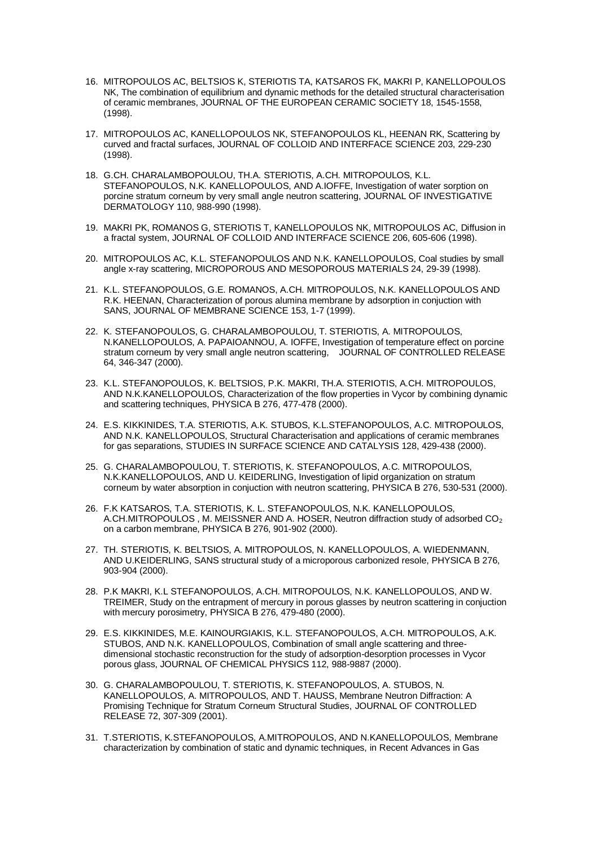- 16. MITROPOULOS AC, BELTSIOS K, STERIOTIS TA, KATSAROS FK, MAKRI P, KANELLOPOULOS NK, The combination of equilibrium and dynamic methods for the detailed structural characterisation of ceramic membranes, JOURNAL OF THE EUROPEAN CERAMIC SOCIETY 18, 1545-1558, (1998).
- 17. MITROPOULOS AC, KANELLOPOULOS NK, STEFANOPOULOS KL, HEENAN RK, Scattering by curved and fractal surfaces, JOURNAL OF COLLOID AND INTERFACE SCIENCE 203, 229-230 (1998).
- 18. G.CH. CHARALAMBOPOULOU, TH.A. STERIOTIS, A.CH. MITROPOULOS, K.L. STEFANOPOULOS, N.K. KANELLOPOULOS, AND A.IOFFE, Investigation of water sorption on porcine stratum corneum by very small angle neutron scattering, JOURNAL OF INVESTIGATIVE DERMATOLOGY 110, 988-990 (1998).
- 19. MAKRI PK, ROMANOS G, STERIOTIS T, KANELLOPOULOS NK, MITROPOULOS AC, Diffusion in a fractal system, JOURNAL OF COLLOID AND INTERFACE SCIENCE 206, 605-606 (1998).
- 20. MITROPOULOS AC, K.L. STEFANOPOULOS AND N.K. KANELLOPOULOS, Coal studies by small angle x-ray scattering, MICROPOROUS AND MESOPOROUS MATERIALS 24, 29-39 (1998).
- 21. K.L. STEFANOPOULOS, G.E. ROMANOS, A.CH. MITROPOULOS, N.K. KANELLOPOULOS AND R.K. HEENAN, Characterization of porous alumina membrane by adsorption in conjuction with SANS, JOURNAL OF MEMBRANE SCIENCE 153, 1-7 (1999).
- 22. K. STEFANOPOULOS, G. CHARALAMBOPOULOU, T. STERIOTIS, A. MITROPOULOS, N.KANELLOPOULOS, A. PAPAIOANNOU, A. IOFFE, Investigation of temperature effect on porcine stratum corneum by very small angle neutron scattering, JOURNAL OF CONTROLLED RELEASE 64, 346-347 (2000).
- 23. K.L. STEFANOPOULOS, K. BELTSIOS, P.K. MAKRI, TH.A. STERIOTIS, A.CH. MITROPOULOS, AND N.K.KANELLOPOULOS, Characterization of the flow properties in Vycor by combining dynamic and scattering techniques, PHYSICA B 276, 477-478 (2000).
- 24. E.S. KIKKINIDES, T.A. STERIOTIS, A.K. STUBOS, K.L.STEFANOPOULOS, A.C. MITROPOULOS, AND N.K. KANELLOPOULOS, Structural Characterisation and applications of ceramic membranes for gas separations, STUDIES IN SURFACE SCIENCE AND CATALYSIS 128, 429-438 (2000).
- 25. G. CHARALAMBOPOULOU, T. STERIOTIS, K. STEFANOPOULOS, A.C. MITROPOULOS, N.K.KANELLOPOULOS, AND U. KEIDERLING, Investigation of lipid organization on stratum corneum by water absorption in conjuction with neutron scattering, PHYSICA B 276, 530-531 (2000).
- 26. F.K KATSAROS, T.A. STERIOTIS, K. L. STEFANOPOULOS, N.K. KANELLOPOULOS, A.CH.MITROPOULOS, M. MEISSNER AND A. HOSER, Neutron diffraction study of adsorbed CO<sub>2</sub> on a carbon membrane, PHYSICA B 276, 901-902 (2000).
- 27. TH. STERIOTIS, K. BELTSIOS, A. MITROPOULOS, N. KANELLOPOULOS, A. WIEDENMANN, AND U.KEIDERLING, SANS structural study of a microporous carbonized resole, PHYSICA B 276, 903-904 (2000).
- 28. P.K MAKRI, K.L STEFANOPOULOS, A.CH. MITROPOULOS, N.K. KANELLOPOULOS, AND W. TREIMER, Study on the entrapment of mercury in porous glasses by neutron scattering in conjuction with mercury porosimetry, PHYSICA B 276, 479-480 (2000).
- 29. E.S. KIKKINIDES, M.E. KAINOURGIAKIS, K.L. STEFANOPOULOS, A.CH. MITROPOULOS, A.K. STUBOS, AND N.K. KANELLOPOULOS, Combination of small angle scattering and threedimensional stochastic reconstruction for the study of adsorption-desorption processes in Vycor porous glass, JOURNAL OF CHEMICAL PHYSICS 112, 988-9887 (2000).
- 30. G. CHARALAMBOPOULOU, T. STERIOTIS, K. STEFANOPOULOS, A. STUBOS, N. KANELLOPOULOS, A. MITROPOULOS, AND T. HAUSS, Membrane Neutron Diffraction: A Promising Technique for Stratum Corneum Structural Studies, JOURNAL OF CONTROLLED RELEASE 72, 307-309 (2001).
- 31. T.STERIOTIS, K.STEFANOPOULOS, A.MITROPOULOS, AND N.KANELLOPOULOS, Membrane characterization by combination of static and dynamic techniques, in Recent Advances in Gas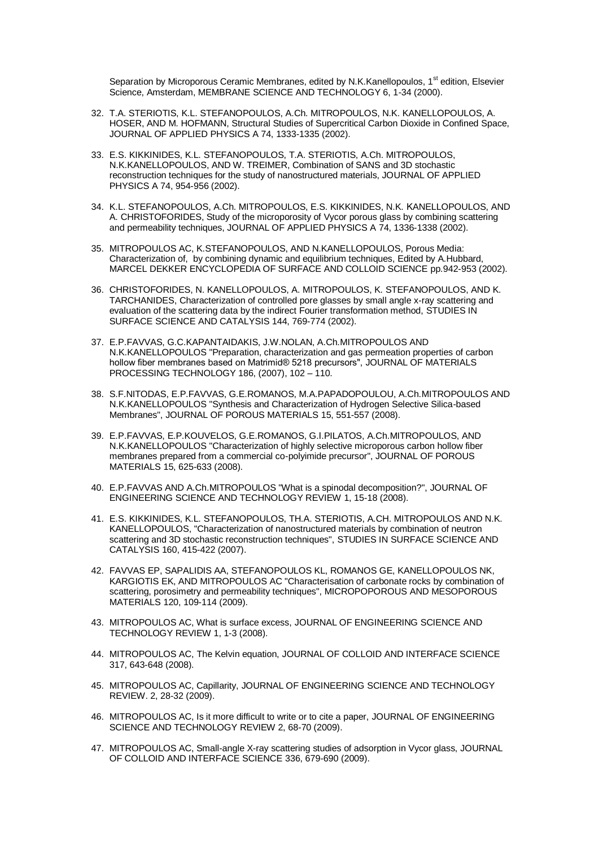Separation by Microporous Ceramic Membranes, edited by N.K.Kanellopoulos, 1<sup>st</sup> edition. Elsevier Science, Amsterdam, MEMBRANE SCIENCE AND TECHNOLOGY 6, 1-34 (2000).

- 32. T.A. STERIOTIS, K.L. STEFANOPOULOS, A.Ch. MITROPOULOS, N.K. KANELLOPOULOS, A. HOSER, AND M. HOFMANN, Structural Studies of Supercritical Carbon Dioxide in Confined Space, JOURNAL OF APPLIED PHYSICS A 74, 1333-1335 (2002).
- 33. E.S. KIKKINIDES, K.L. STEFANOPOULOS, T.A. STERIOTIS, A.Ch. MITROPOULOS, N.K.KANELLOPOULOS, AND W. TREIMER, Combination of SANS and 3D stochastic reconstruction techniques for the study of nanostructured materials, JOURNAL OF APPLIED PHYSICS A 74, 954-956 (2002).
- 34. K.L. STEFANOPOULOS, A.Ch. MITROPOULOS, E.S. KIKKINIDES, N.K. ΚANELLOPOULOS, AND A. CHRISTOFORIDES, Study of the microporosity of Vycor porous glass by combining scattering and permeability techniques, JOURNAL OF APPLIED PHYSICS A 74, 1336-1338 (2002).
- 35. MITROPOULOS AC, K.STEFANOPOULOS, AND N.KANELLOPOULOS, Porous Media: Characterization of, by combining dynamic and equilibrium techniques, Edited by A.Hubbard, MARCEL DEKKER ENCYCLOPEDIA OF SURFACE AND COLLOID SCIENCE pp.942-953 (2002).
- 36. CHRISTOFORIDES, N. KANELLOPOULOS, A. MITROPOULOS, K. STEFANOPOULOS, AND K. TARCHANIDES, Characterization of controlled pore glasses by small angle x-ray scattering and evaluation of the scattering data by the indirect Fourier transformation method, STUDIES IN SURFACE SCIENCE AND CATALYSIS 144, 769-774 (2002).
- 37. E.P.FAVVAS, G.C.KAPANTAIDAKIS, J.W.NOLAN, A.Ch.MITROPOULOS AND N.K.KANELLOPOULOS "Preparation, characterization and gas permeation properties of carbon hollow fiber membranes based on Matrimid® 5218 precursors", JOURNAL OF MATERIALS PROCESSING TECHNOLOGY 186, (2007), 102 – 110.
- 38. S.F.NITODAS, E.P.FAVVAS, G.E.ROMANOS, M.A.PAPADOPOULOU, A.Ch.MITROPOULOS AND N.K.KANELLOPOULOS "Synthesis and Characterization of Hydrogen Selective Silica-based Membranes", JOURNAL OF POROUS MATERIALS 15, 551-557 (2008).
- 39. E.P.FAVVAS, E.P.KOUVELOS, G.E.ROMANOS, G.I.PILATOS, A.Ch.MITROPOULOS, AND N.K.KANELLOPOULOS "Characterization of highly selective microporous carbon hollow fiber membranes prepared from a commercial co-polyimide precursor", JOURNAL OF POROUS MATERIALS 15, 625-633 (2008).
- 40. E.P.FAVVAS AND A.Ch.MITROPOULOS "What is a spinodal decomposition?", JOURNAL OF ENGINEERING SCIENCE AND TECHNOLOGY REVIEW 1, 15-18 (2008).
- 41. E.S. KIKKINIDES, K.L. STEFANOPOULOS, TH.A. STERIOTIS, A.CH. MITROPOULOS AND N.K. KANELLOPOULOS, "Characterization of nanostructured materials by combination of neutron scattering and 3D stochastic reconstruction techniques", STUDIES IN SURFACE SCIENCE AND CATALYSIS 160, 415-422 (2007).
- 42. FAVVAS EP, SAPALIDIS AA, STEFANOPOULOS KL, ROMANOS GE, KANELLOPOULOS NK, KARGIOTIS EK, AND MITROPOULOS AC "Characterisation of carbonate rocks by combination of scattering, porosimetry and permeability techniques", MICROPOPOROUS AND MESOPOROUS MATERIALS 120, 109-114 (2009).
- 43. MITROPOULOS AC, What is surface excess, JOURNAL OF ENGINEERING SCIENCE AND TECHNOLOGY REVIEW 1, 1-3 (2008).
- 44. MITROPOULOS AC, The Kelvin equation, JOURNAL OF COLLOID AND INTERFACE SCIENCE 317, 643-648 (2008).
- 45. MITROPOULOS AC, Capillarity, JOURNAL OF ENGINEERING SCIENCE AND TECHNOLOGY REVIEW. 2, 28-32 (2009).
- 46. MITROPOULOS AC, Is it more difficult to write or to cite a paper, JOURNAL OF ENGINEERING SCIENCE AND TECHNOLOGY REVIEW 2, 68-70 (2009).
- 47. MITROPOULOS AC, Small-angle X-ray scattering studies of adsorption in Vycor glass, JOURNAL OF COLLOID AND INTERFACE SCIENCE 336, 679-690 (2009).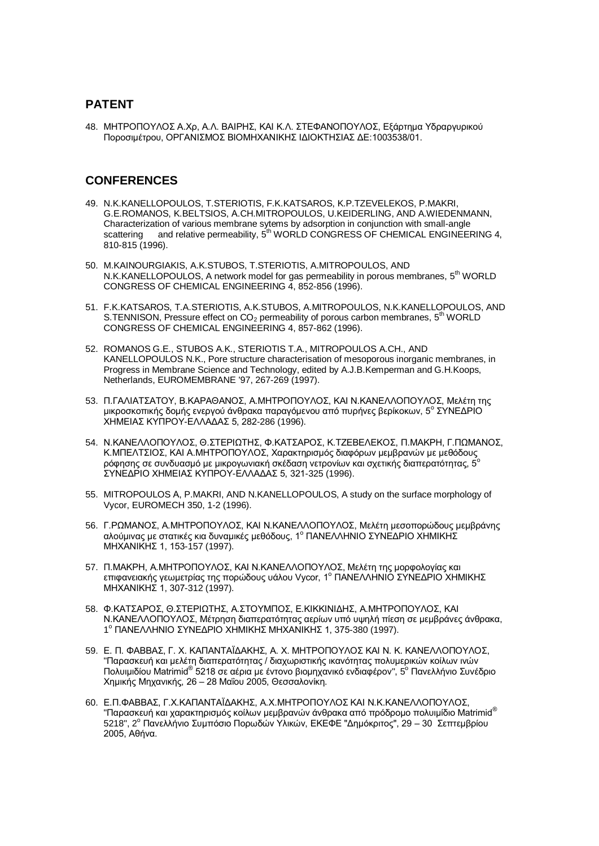## **PATENT**

48. ΜΗΤΡΟΠΟΥΛΟΣ Α.Χρ, Α.Λ. ΒΑΙΡΗΣ, ΚΑΙ Κ.Λ. ΣΤΕΦΑΝΟΠΟΥΛΟΣ, Εξάρτημα Υδραργυρικού Ποροσιμέτρου, ΟΡΓΑΝΙΣΜΟΣ ΒΙΟΜΗΧΑΝΙΚΗΣ ΙΔΙΟΚΤΗΣΙΑΣ ΔΕ:1003538/01.

## **CONFERENCES**

- 49. N.K.KANELLOPOULOS, T.STERIOTIS, F.K.KATSAROS, K.P.TZEVELEKOS, P.MAKRI, G.E.ROMANOS, K.BELTSIOS, Α.CH.MITROPOULOS, U.KEIDERLING, AND A.WIEDENMANN, Characterization of various membrane sytems by adsorption in conjunction with small-angle scattering and relative permeability, 5<sup>th</sup> WORLD CONGRESS OF CHEMICAL ENGINEERING 4, 810-815 (1996).
- 50. M.KAINOURGIAKIS, A.K.STUBOS, T.STERIOTIS, A.MITROPOULOS, AND N.K.KANELLOPOULOS, A network model for gas permeability in porous membranes, 5<sup>th</sup> WORLD CONGRESS OF CHEMICAL ENGINEERING 4, 852-856 (1996).
- 51. F.K.KATSAROS, T.A.STERIOTIS, A.K.STUBOS, A.MITROPOULOS, N.K.KANELLOPOULOS, AND S. TENNISON, Pressure effect on  $CO<sub>2</sub>$  permeability of porous carbon membranes,  $5<sup>th</sup>$  WORLD CONGRESS OF CHEMICAL ENGINEERING 4, 857-862 (1996).
- 52. ROMANOS G.E., STUBOS A.K., STERIOTIS T.A., MITROPOULOS A.CH., AND KANELLOPOULOS N.K., Pore structure characterisation of mesoporous inorganic membranes, in Progress in Membrane Science and Technology, edited by A.J.B.Kemperman and G.H.Koops, Netherlands, EUROMEMBRANE '97, 267-269 (1997).
- 53. Π.ΓΑΛΙΑΤΣΑΤΟΥ, Β.ΚΑΡΑΘΑΝΟΣ, Α.ΜΗΤΡΟΠΟΥΛΟΣ, ΚΑΙ Ν.ΚΑΝΕΛΛΟΠΟΥΛΟΣ, Μελέτη της μικροσκοπικής δομής ενεργού άνθρακα παραγόμενου από πυρήνες βερίκοκων, 5° ΣΥΝΕΔΡΙΟ ΧΗΜΕΙΑΣ ΚΥΠΡΟΥ-ΕΛΛΑΔΑΣ 5, 282-286 (1996).
- 54. Ν.ΚΑΝΕΛΛΟΠΟΥΛΟΣ, Θ.ΣΤΕΡΙΩΤΗΣ, Φ.ΚΑΤΣΑΡΟΣ, Κ.ΤΖΕΒΕΛΕΚΟΣ, Π.ΜΑΚΡΗ, Γ.ΠΩΜΑΝΟΣ, Κ.ΜΠΕΛΤΣΙΟΣ, ΚΑΙ Α.ΜΗΤΡΟΠΟΥΛΟΣ, Χαρακτηρισμός διαφόρων μεμβρανών με μεθόδους<sub>.</sub> ρόφησης σε συνδυασμό με μικρογωνιακή σκέδαση νετρονίων και σχετικής διαπερατότητας, 5 ΣΥΝΕΔΡΙΟ ΧΗΜΕΙΑΣ ΚΥΠΡΟΥ-ΕΛΛΑΔΑΣ 5, 321-325 (1996).
- 55. MITROPOULOS Α, P.MAKRI, AND N.KANELLOPOULOS, A study on the surface morphology of Vycor, EUROMECH 350, 1-2 (1996).
- 56. Γ.ΡΩΜΑΝΟΣ, Α.ΜΗΤΡΟΠΟΥΛΟΣ, ΚΑΙ Ν.ΚΑΝΕΛΛΟΠΟΥΛΟΣ, Μελέτη μεσοπορώδους μεμβράνης αλούμινας με στατικές κια δυναμικές μεθόδους, 1° ΠΑΝΕΛΛΗΝΙΟ ΣΥΝΕΔΡΙΟ ΧΗΜΙΚΗΣ ΜΗΧΑΝΙΚΗΣ 1, 153-157 (1997).
- 57. Π.ΜΑΚΡΗ. Α.ΜΗΤΡΟΠΟΥΛΟΣ, ΚΑΙ Ν.ΚΑΝΕΛΛΟΠΟΥΛΟΣ, Μελέτη της μορφολογίας και επιφανειακής γεωμετρίας της πορώδους υάλου Vycor, 1<sup>ο</sup> ΠΑΝΕΛΛΗΝΙΟ ΣΥΝΕΔΡΙΟ ΧΗΜΙΚΗΣ ΜΗΧΑΝΙΚΗΣ 1, 307-312 (1997).
- 58. Φ.ΚΑΤΣΑΡΟΣ, Θ.ΣΤΕΡΙΩΤΗΣ, Α.ΣΤΟΥΜΠΟΣ, Ε.ΚΙΚΚΙΝΙΔΗΣ, Α.ΜΗΤΡΟΠΟΥΛΟΣ, ΚΑΙ Ν.ΚΑΝΕΛΛΟΠΟΥΛΟΣ, Μέτρηση διαπερατότητας αερίων υπό υψηλή πίεση σε μεμβράνες άνθρακα, 1<sup>°</sup> ΠΑΝΕΛΛΗΝΙΟ ΣΥΝΕΔΡΙΟ ΧΗΜΙΚΗΣ ΜΗΧΑΝΙΚΗΣ 1, 375-380 (1997).
- 59. Ε. Π. ΦΑΒΒΑΣ, Γ. Χ. ΚΑΠΑΝΤΑΪΔΑΚΗΣ, Α. Χ. ΜΗΤΡΟΠΟΥΛΟΣ ΚΑΙ Ν. Κ. ΚΑΝΕΛΛΟΠΟΥΛΟΣ, "Παρασκευή και μελέτη διαπερατότητας / διαχωριστικής ικανότητας πολυμερικών κοίλων ινών Πολυιμιδίου Matrimid® 5218 σε αέρια με έντονο βιομηχανικό ενδιαφέρον", 5<sup>ο</sup> Πανελλήνιο Συνέδριο Χημικής Μηχανικής, 26 – 28 Μαΐου 2005, Θεσσαλονίκη.
- 60. Ε.Π.ΦΑΒΒΑΣ, Γ.Χ.ΚΑΠΑΝΤΑΪΔΑΚΗΣ, Α.Χ.ΜΗΤΡΟΠΟΥΛΟΣ ΚΑΙ Ν.Κ.ΚΑΝΕΛΛΟΠΟΥΛΟΣ. "Παρασκευή και χαρακτηρισμός κοίλων μεμβρανών άνθρακα από πρόδρομο πολυιμίδιο Matrimid® 1. Σραστού, Παλειμματικής του Προσοδών Υλικών, ΕΚΕΦΕ "Δημόκριτος", 29 – 30 Σεπτεμβρίου 2005, Αθήνα.